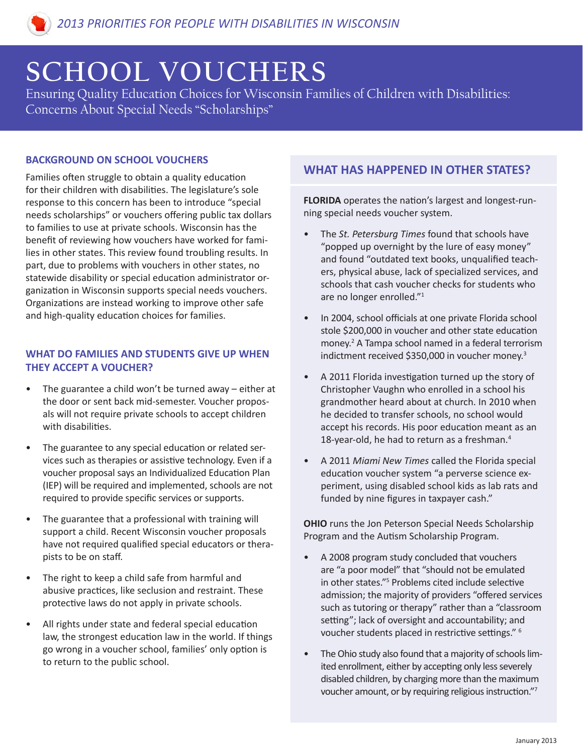# **SCHOOL VOUCHERS**

Ensuring Quality Education Choices for Wisconsin Families of Children with Disabilities: Concerns About Special Needs "Scholarships"

## **BACKGROUND ON SCHOOL VOUCHERS**

Families often struggle to obtain a quality education for their children with disabilities. The legislature's sole response to this concern has been to introduce "special needs scholarships" or vouchers offering public tax dollars to families to use at private schools. Wisconsin has the benefit of reviewing how vouchers have worked for families in other states. This review found troubling results. In part, due to problems with vouchers in other states, no statewide disability or special education administrator organization in Wisconsin supports special needs vouchers. Organizations are instead working to improve other safe and high-quality education choices for families.

## **WHAT DO FAMILIES AND STUDENTS GIVE UP WHEN THEY ACCEPT A VOUCHER?**

- The guarantee a child won't be turned away  $-$  either at the door or sent back mid-semester. Voucher proposals will not require private schools to accept children with disabilities.
- The guarantee to any special education or related services such as therapies or assistive technology. Even if a voucher proposal says an Individualized Education Plan (IEP) will be required and implemented, schools are not required to provide specific services or supports.
- The guarantee that a professional with training will support a child. Recent Wisconsin voucher proposals have not required qualified special educators or therapists to be on staff.
- The right to keep a child safe from harmful and abusive practices, like seclusion and restraint. These protective laws do not apply in private schools.
- All rights under state and federal special education law, the strongest education law in the world. If things go wrong in a voucher school, families' only option is to return to the public school.

## **WHAT HAS HAPPENED IN OTHER STATES?**

**FLORIDA** operates the nation's largest and longest-running special needs voucher system.

- The *St. Petersburg Times* found that schools have "popped up overnight by the lure of easy money" and found "outdated text books, unqualified teachers, physical abuse, lack of specialized services, and schools that cash voucher checks for students who are no longer enrolled."<sup>1</sup>
- In 2004, school officials at one private Florida school stole \$200,000 in voucher and other state education money.<sup>2</sup> A Tampa school named in a federal terrorism indictment received \$350,000 in voucher money.<sup>3</sup>
- A 2011 Florida investigation turned up the story of Christopher Vaughn who enrolled in a school his grandmother heard about at church. In 2010 when he decided to transfer schools, no school would accept his records. His poor education meant as an 18-year-old, he had to return as a freshman.<sup>4</sup>
- A 2011 *Miami New Times* called the Florida special education voucher system "a perverse science experiment, using disabled school kids as lab rats and funded by nine figures in taxpayer cash."

**OHIO** runs the Jon Peterson Special Needs Scholarship Program and the Autism Scholarship Program.

- A 2008 program study concluded that vouchers are "a poor model" that "should not be emulated in other states."5 Problems cited include selective admission; the majority of providers "offered services such as tutoring or therapy" rather than a "classroom setting"; lack of oversight and accountability; and voucher students placed in restrictive settings." <sup>6</sup>
- The Ohio study also found that a majority of schools limited enrollment, either by accepting only less severely disabled children, by charging more than the maximum voucher amount, or by requiring religious instruction."<sup>7</sup>